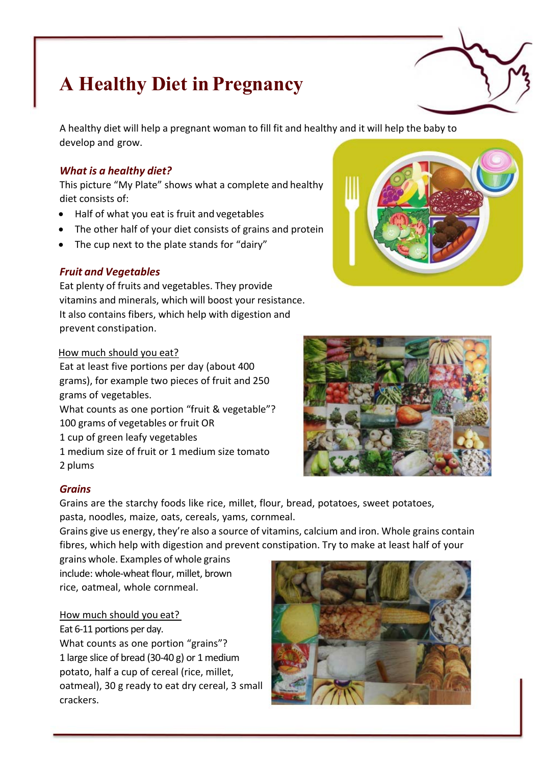# **A Healthy Diet in Pregnancy**

A healthy diet will help a pregnant woman to fill fit and healthy and it will help the baby to develop and grow.

# *What is a healthy diet?*

This picture "My Plate" shows what a complete and healthy diet consists of:

- Half of what you eat is fruit and vegetables
- The other half of your diet consists of grains and protein
- The cup next to the plate stands for "dairy"

## *Fruit and Vegetables*

Eat plenty of fruits and vegetables. They provide vitamins and minerals, which will boost your resistance. It also contains fibers, which help with digestion and prevent constipation.

## How much should you eat?

Eat at least five portions per day (about 400 grams), for example two pieces of fruit and 250 grams of vegetables. What counts as one portion "fruit & vegetable"?

100 grams of vegetables or fruit OR

1 cup of green leafy vegetables

1 medium size of fruit or 1 medium size tomato 2 plums

## *Grains*

Grains are the starchy foods like rice, millet, flour, bread, potatoes, sweet potatoes, pasta, noodles, maize, oats, cereals, yams, cornmeal.

Grains give us energy, they're also a source of vitamins, calcium and iron. Whole grains contain fibres, which help with digestion and prevent constipation. Try to make at least half of your

grains whole. Examples of whole grains include: whole-wheat flour, millet, brown rice, oatmeal, whole cornmeal.

## How much should you eat?

Eat 6-11 portions per day.

What counts as one portion "grains"? 1 large slice of bread (30-40 g) or 1 medium potato, half a cup of cereal (rice, millet, oatmeal), 30 g ready to eat dry cereal, 3 small crackers.